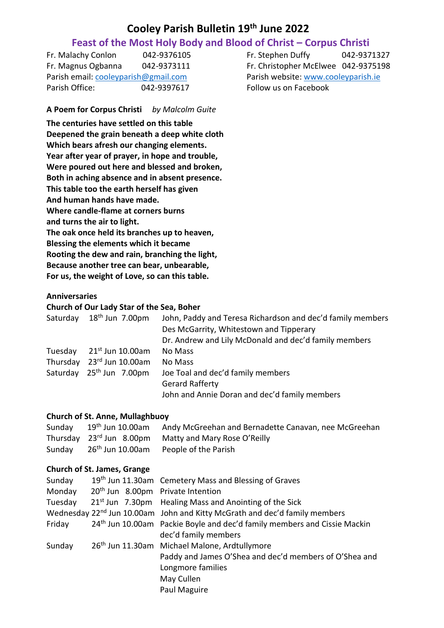# **Cooley Parish Bulletin 19 th June 2022**

# **Feast of the Most Holy Body and Blood of Christ – Corpus Christi**

Fr. Malachy Conlon 042-9376105 Fr. Stephen Duffy 042-9371327 Fr. Magnus Ogbanna 042-9373111 Fr. Christopher McElwee 042-9375198 Parish email[: cooleyparish@gmail.com](mailto:cooleyparish@gmail.com) Parish website: [www.cooleyparish.ie](http://www.cooleyparish.ie/) Parish Office: 042-9397617 Follow us on Facebook

**A Poem for Corpus Christi** *by Malcolm Guite*

**The centuries have settled on this table Deepened the grain beneath a deep white cloth Which bears afresh our changing elements. Year after year of prayer, in hope and trouble, Were poured out here and blessed and broken, Both in aching absence and in absent presence. This table too the earth herself has given And human hands have made. Where candle-flame at corners burns and turns the air to light. The oak once held its branches up to heaven, Blessing the elements which it became Rooting the dew and rain, branching the light, Because another tree can bear, unbearable, For us, the weight of Love, so can this table.**

# **Anniversaries**

#### **Church of Our Lady Star of the Sea, Boher**

| Saturday | $18^{\text{th}}$ Jun 7.00pm          | John, Paddy and Teresa Richardson and dec'd family members |
|----------|--------------------------------------|------------------------------------------------------------|
|          |                                      | Des McGarrity, Whitestown and Tipperary                    |
|          |                                      | Dr. Andrew and Lily McDonald and dec'd family members      |
| Tuesday  | $21st$ Jun 10.00am                   | No Mass                                                    |
| Thursday | 23rd Jun 10.00am                     | No Mass                                                    |
|          | Saturday 25 <sup>th</sup> Jun 7.00pm | Joe Toal and dec'd family members                          |
|          |                                      | <b>Gerard Rafferty</b>                                     |
|          |                                      | John and Annie Doran and dec'd family members              |

#### **Church of St. Anne, Mullaghbuoy**

|  | Sunday 19th Jun 10.00am Andy McGreehan and Bernadette Canavan, nee McGreehan |
|--|------------------------------------------------------------------------------|
|  | Thursday 23rd Jun 8.00pm Matty and Mary Rose O'Reilly                        |
|  | Sunday 26 <sup>th</sup> Jun 10.00am People of the Parish                     |

#### **Church of St. James, Grange**

| Sunday  |                                               | 19 <sup>th</sup> Jun 11.30am Cemetery Mass and Blessing of Graves                      |
|---------|-----------------------------------------------|----------------------------------------------------------------------------------------|
| Monday  | 20 <sup>th</sup> Jun 8.00pm Private Intention |                                                                                        |
| Tuesday |                                               | 21 <sup>st</sup> Jun 7.30pm Healing Mass and Anointing of the Sick                     |
|         |                                               | Wednesday 22 <sup>nd</sup> Jun 10.00am John and Kitty McGrath and dec'd family members |
| Friday  |                                               | 24 <sup>th</sup> Jun 10.00am Packie Boyle and dec'd family members and Cissie Mackin   |
|         |                                               | dec'd family members                                                                   |
| Sunday  |                                               | 26 <sup>th</sup> Jun 11.30am Michael Malone, Ardtullymore                              |
|         |                                               | Paddy and James O'Shea and dec'd members of O'Shea and                                 |
|         |                                               | Longmore families                                                                      |
|         |                                               | May Cullen                                                                             |
|         |                                               | Paul Maguire                                                                           |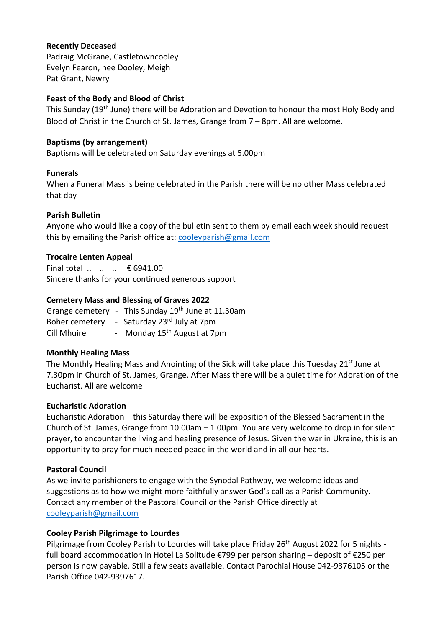### **Recently Deceased**

Padraig McGrane, Castletowncooley Evelyn Fearon, nee Dooley, Meigh Pat Grant, Newry

# **Feast of the Body and Blood of Christ**

This Sunday (19th June) there will be Adoration and Devotion to honour the most Holy Body and Blood of Christ in the Church of St. James, Grange from 7 – 8pm. All are welcome.

# **Baptisms (by arrangement)**

Baptisms will be celebrated on Saturday evenings at 5.00pm

#### **Funerals**

When a Funeral Mass is being celebrated in the Parish there will be no other Mass celebrated that day

# **Parish Bulletin**

Anyone who would like a copy of the bulletin sent to them by email each week should request this by emailing the Parish office at: [cooleyparish@gmail.com](mailto:cooleyparish@gmail.com)

# **Trocaire Lenten Appeal**

Final total .. .. .. € 6941.00 Sincere thanks for your continued generous support

# **Cemetery Mass and Blessing of Graves 2022**

Grange cemetery - This Sunday  $19<sup>th</sup>$  June at 11.30am Boher cemetery - Saturday 23<sup>rd</sup> July at 7pm Cill Mhuire - Monday 15<sup>th</sup> August at 7pm

# **Monthly Healing Mass**

The Monthly Healing Mass and Anointing of the Sick will take place this Tuesday 21st June at 7.30pm in Church of St. James, Grange. After Mass there will be a quiet time for Adoration of the Eucharist. All are welcome

#### **Eucharistic Adoration**

Eucharistic Adoration – this Saturday there will be exposition of the Blessed Sacrament in the Church of St. James, Grange from 10.00am – 1.00pm. You are very welcome to drop in for silent prayer, to encounter the living and healing presence of Jesus. Given the war in Ukraine, this is an opportunity to pray for much needed peace in the world and in all our hearts.

#### **Pastoral Council**

As we invite parishioners to engage with the Synodal Pathway, we welcome ideas and suggestions as to how we might more faithfully answer God's call as a Parish Community. Contact any member of the Pastoral Council or the Parish Office directly at [cooleyparish@gmail.com](mailto:cooleyparish@gmail.com)

#### **Cooley Parish Pilgrimage to Lourdes**

Pilgrimage from Cooley Parish to Lourdes will take place Friday 26<sup>th</sup> August 2022 for 5 nights full board accommodation in Hotel La Solitude €799 per person sharing – deposit of €250 per person is now payable. Still a few seats available. Contact Parochial House 042-9376105 or the Parish Office 042-9397617.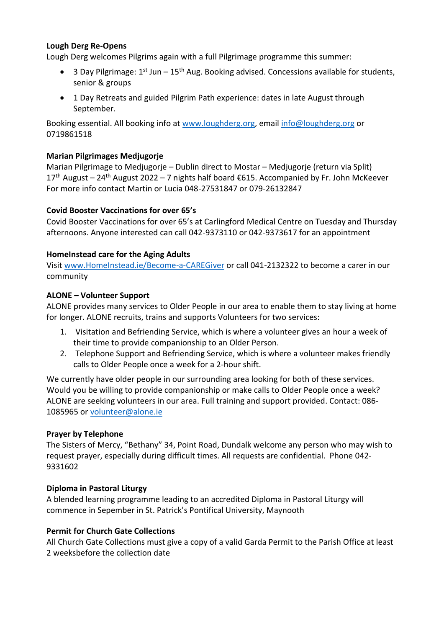# **Lough Derg Re-Opens**

Lough Derg welcomes Pilgrims again with a full Pilgrimage programme this summer:

- 3 Day Pilgrimage:  $1^{st}$  Jun  $15^{th}$  Aug. Booking advised. Concessions available for students, senior & groups
- 1 Day Retreats and guided Pilgrim Path experience: dates in late August through September.

Booking essential. All booking info at [www.loughderg.org,](http://www.loughderg.org/) email [info@loughderg.org](mailto:info@loughderg.org) or 0719861518

# **Marian Pilgrimages Medjugorje**

Marian Pilgrimage to Medjugorje – Dublin direct to Mostar – Medjugorje (return via Split)  $17<sup>th</sup>$  August – 24<sup>th</sup> August 2022 – 7 nights half board €615. Accompanied by Fr. John McKeever For more info contact Martin or Lucia 048-27531847 or 079-26132847

# **Covid Booster Vaccinations for over 65's**

Covid Booster Vaccinations for over 65's at Carlingford Medical Centre on Tuesday and Thursday afternoons. Anyone interested can call 042-9373110 or 042-9373617 for an appointment

# **HomeInstead care for the Aging Adults**

Visit<www.HomeInstead.ie/Become-a-CAREGiver> or call 041-2132322 to become a carer in our community

# **ALONE – Volunteer Support**

ALONE provides many services to Older People in our area to enable them to stay living at home for longer. ALONE recruits, trains and supports Volunteers for two services:

- 1. Visitation and Befriending Service, which is where a volunteer gives an hour a week of their time to provide companionship to an Older Person.
- 2. Telephone Support and Befriending Service, which is where a volunteer makes friendly calls to Older People once a week for a 2-hour shift.

We currently have older people in our surrounding area looking for both of these services. Would you be willing to provide companionship or make calls to Older People once a week? ALONE are seeking volunteers in our area. Full training and support provided. Contact: 086- 1085965 or [volunteer@alone.ie](mailto:volunteer@alone.ie)

#### **Prayer by Telephone**

The Sisters of Mercy, "Bethany" 34, Point Road, Dundalk welcome any person who may wish to request prayer, especially during difficult times. All requests are confidential. Phone 042- 9331602

#### **Diploma in Pastoral Liturgy**

A blended learning programme leading to an accredited Diploma in Pastoral Liturgy will commence in Sepember in St. Patrick's Pontifical University, Maynooth

#### **Permit for Church Gate Collections**

All Church Gate Collections must give a copy of a valid Garda Permit to the Parish Office at least 2 weeksbefore the collection date